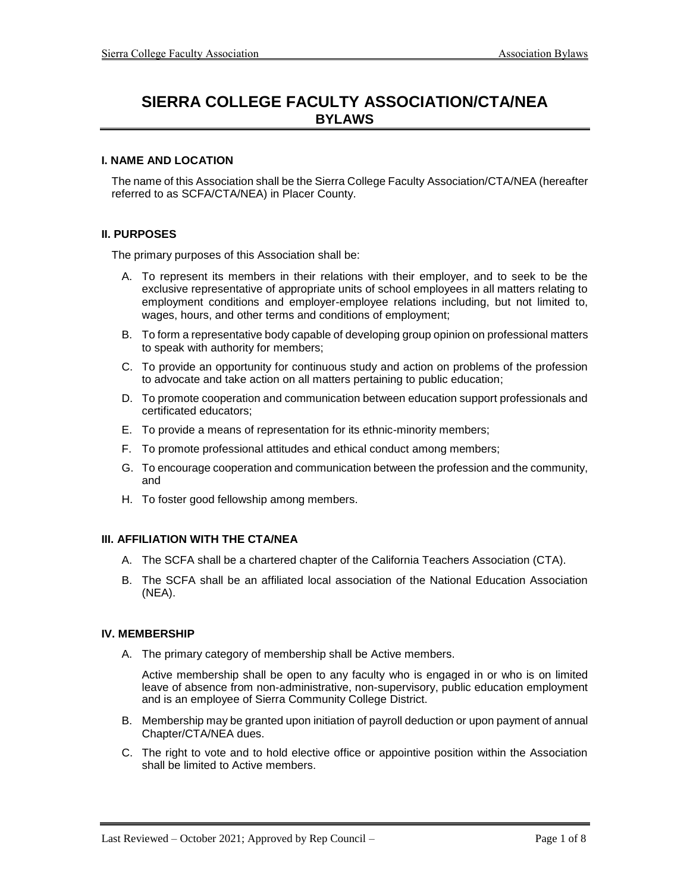# **SIERRA COLLEGE FACULTY ASSOCIATION/CTA/NEA BYLAWS**

## **I. NAME AND LOCATION**

The name of this Association shall be the Sierra College Faculty Association/CTA/NEA (hereafter referred to as SCFA/CTA/NEA) in Placer County.

## **II. PURPOSES**

The primary purposes of this Association shall be:

- A. To represent its members in their relations with their employer, and to seek to be the exclusive representative of appropriate units of school employees in all matters relating to employment conditions and employer-employee relations including, but not limited to, wages, hours, and other terms and conditions of employment;
- B. To form a representative body capable of developing group opinion on professional matters to speak with authority for members;
- C. To provide an opportunity for continuous study and action on problems of the profession to advocate and take action on all matters pertaining to public education;
- D. To promote cooperation and communication between education support professionals and certificated educators;
- E. To provide a means of representation for its ethnic-minority members;
- F. To promote professional attitudes and ethical conduct among members;
- G. To encourage cooperation and communication between the profession and the community, and
- H. To foster good fellowship among members.

## **III. AFFILIATION WITH THE CTA/NEA**

- A. The SCFA shall be a chartered chapter of the California Teachers Association (CTA).
- B. The SCFA shall be an affiliated local association of the National Education Association (NEA).

## **IV. MEMBERSHIP**

A. The primary category of membership shall be Active members.

Active membership shall be open to any faculty who is engaged in or who is on limited leave of absence from non-administrative, non-supervisory, public education employment and is an employee of Sierra Community College District.

- B. Membership may be granted upon initiation of payroll deduction or upon payment of annual Chapter/CTA/NEA dues.
- C. The right to vote and to hold elective office or appointive position within the Association shall be limited to Active members.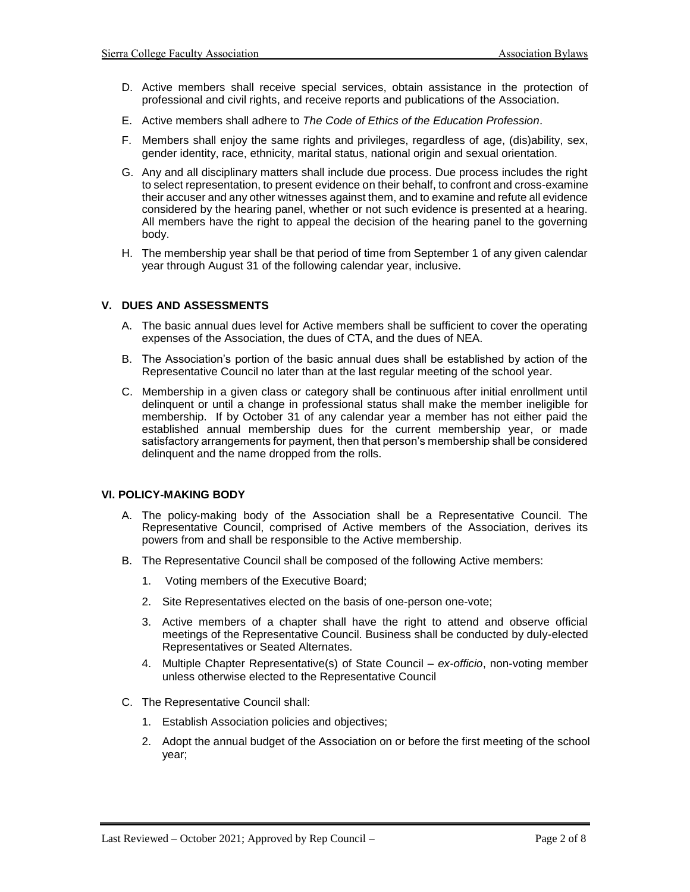- D. Active members shall receive special services, obtain assistance in the protection of professional and civil rights, and receive reports and publications of the Association.
- E. Active members shall adhere to *The Code of Ethics of the Education Profession*.
- F. Members shall enjoy the same rights and privileges, regardless of age, (dis)ability, sex, gender identity, race, ethnicity, marital status, national origin and sexual orientation.
- G. Any and all disciplinary matters shall include due process. Due process includes the right to select representation, to present evidence on their behalf, to confront and cross-examine their accuser and any other witnesses against them, and to examine and refute all evidence considered by the hearing panel, whether or not such evidence is presented at a hearing. All members have the right to appeal the decision of the hearing panel to the governing body.
- H. The membership year shall be that period of time from September 1 of any given calendar year through August 31 of the following calendar year, inclusive.

# **V. DUES AND ASSESSMENTS**

- A. The basic annual dues level for Active members shall be sufficient to cover the operating expenses of the Association, the dues of CTA, and the dues of NEA.
- B. The Association's portion of the basic annual dues shall be established by action of the Representative Council no later than at the last regular meeting of the school year.
- C. Membership in a given class or category shall be continuous after initial enrollment until delinquent or until a change in professional status shall make the member ineligible for membership. If by October 31 of any calendar year a member has not either paid the established annual membership dues for the current membership year, or made satisfactory arrangements for payment, then that person's membership shall be considered delinquent and the name dropped from the rolls.

## **VI. POLICY-MAKING BODY**

- A. The policy-making body of the Association shall be a Representative Council. The Representative Council, comprised of Active members of the Association, derives its powers from and shall be responsible to the Active membership.
- B. The Representative Council shall be composed of the following Active members:
	- 1. Voting members of the Executive Board;
	- 2. Site Representatives elected on the basis of one-person one-vote;
	- 3. Active members of a chapter shall have the right to attend and observe official meetings of the Representative Council. Business shall be conducted by duly-elected Representatives or Seated Alternates.
	- 4. Multiple Chapter Representative(s) of State Council *ex-officio*, non-voting member unless otherwise elected to the Representative Council
- C. The Representative Council shall:
	- 1. Establish Association policies and objectives;
	- 2. Adopt the annual budget of the Association on or before the first meeting of the school year;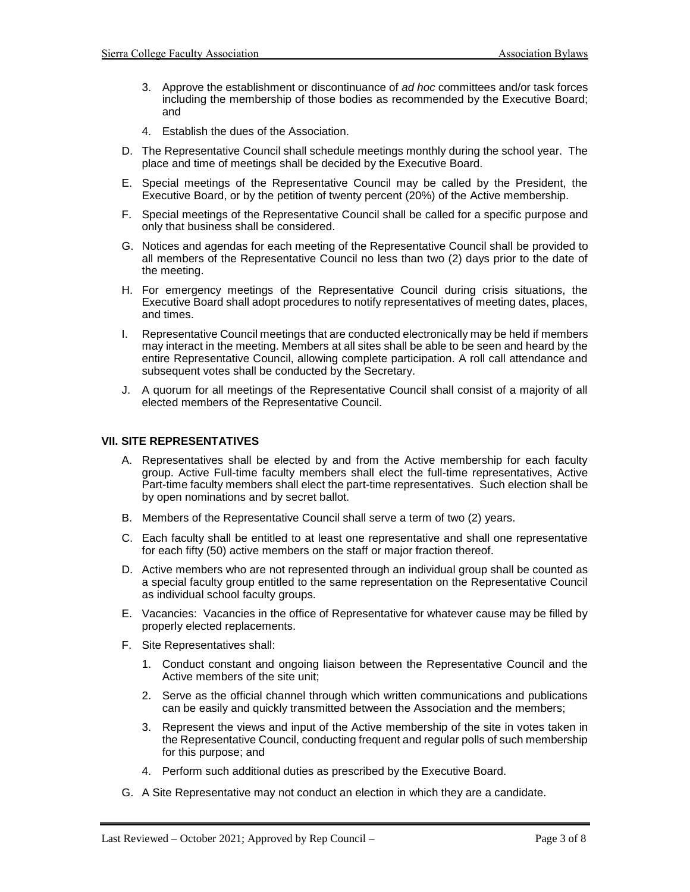- 3. Approve the establishment or discontinuance of *ad hoc* committees and/or task forces including the membership of those bodies as recommended by the Executive Board; and
- 4. Establish the dues of the Association.
- D. The Representative Council shall schedule meetings monthly during the school year. The place and time of meetings shall be decided by the Executive Board.
- E. Special meetings of the Representative Council may be called by the President, the Executive Board, or by the petition of twenty percent (20%) of the Active membership.
- F. Special meetings of the Representative Council shall be called for a specific purpose and only that business shall be considered.
- G. Notices and agendas for each meeting of the Representative Council shall be provided to all members of the Representative Council no less than two (2) days prior to the date of the meeting.
- H. For emergency meetings of the Representative Council during crisis situations, the Executive Board shall adopt procedures to notify representatives of meeting dates, places, and times.
- I. Representative Council meetings that are conducted electronically may be held if members may interact in the meeting. Members at all sites shall be able to be seen and heard by the entire Representative Council, allowing complete participation. A roll call attendance and subsequent votes shall be conducted by the Secretary.
- J. A quorum for all meetings of the Representative Council shall consist of a majority of all elected members of the Representative Council.

## **VII. SITE REPRESENTATIVES**

- A. Representatives shall be elected by and from the Active membership for each faculty group. Active Full-time faculty members shall elect the full-time representatives, Active Part-time faculty members shall elect the part-time representatives. Such election shall be by open nominations and by secret ballot*.*
- B. Members of the Representative Council shall serve a term of two (2) years.
- C. Each faculty shall be entitled to at least one representative and shall one representative for each fifty (50) active members on the staff or major fraction thereof.
- D. Active members who are not represented through an individual group shall be counted as a special faculty group entitled to the same representation on the Representative Council as individual school faculty groups.
- E. Vacancies: Vacancies in the office of Representative for whatever cause may be filled by properly elected replacements.
- F. Site Representatives shall:
	- 1. Conduct constant and ongoing liaison between the Representative Council and the Active members of the site unit;
	- 2. Serve as the official channel through which written communications and publications can be easily and quickly transmitted between the Association and the members;
	- 3. Represent the views and input of the Active membership of the site in votes taken in the Representative Council, conducting frequent and regular polls of such membership for this purpose; and
	- 4. Perform such additional duties as prescribed by the Executive Board.
- G. A Site Representative may not conduct an election in which they are a candidate.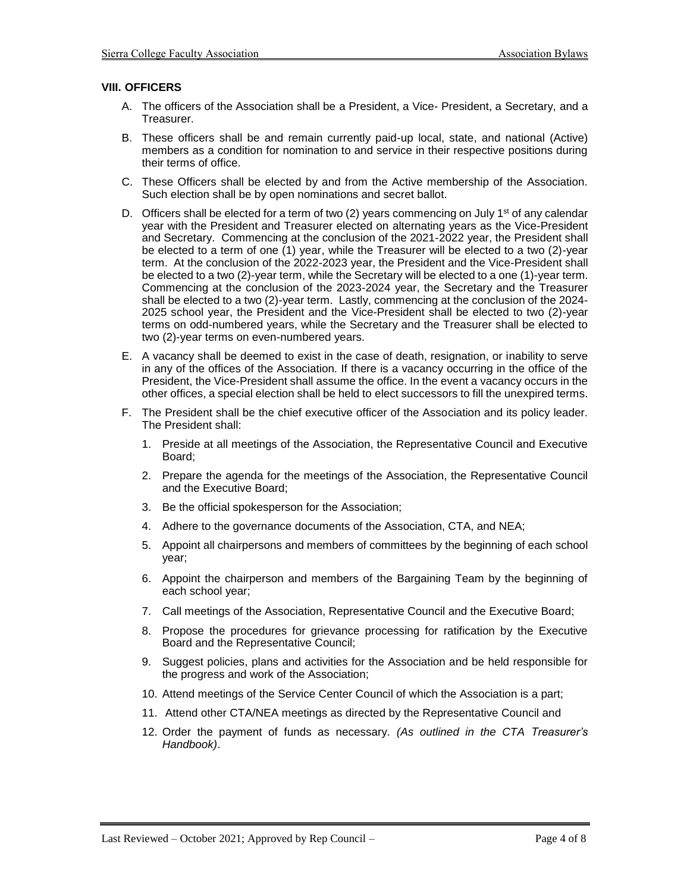## **VIII. OFFICERS**

- A. The officers of the Association shall be a President, a Vice- President, a Secretary, and a Treasurer.
- B. These officers shall be and remain currently paid-up local, state, and national (Active) members as a condition for nomination to and service in their respective positions during their terms of office.
- C. These Officers shall be elected by and from the Active membership of the Association. Such election shall be by open nominations and secret ballot.
- D. Officers shall be elected for a term of two (2) years commencing on July 1<sup>st</sup> of any calendar year with the President and Treasurer elected on alternating years as the Vice-President and Secretary. Commencing at the conclusion of the 2021-2022 year, the President shall be elected to a term of one (1) year, while the Treasurer will be elected to a two (2)-year term. At the conclusion of the 2022-2023 year, the President and the Vice-President shall be elected to a two (2)-year term, while the Secretary will be elected to a one (1)-year term. Commencing at the conclusion of the 2023-2024 year, the Secretary and the Treasurer shall be elected to a two (2)-year term. Lastly, commencing at the conclusion of the 2024- 2025 school year, the President and the Vice-President shall be elected to two (2)-year terms on odd-numbered years, while the Secretary and the Treasurer shall be elected to two (2)-year terms on even-numbered years.
- E. A vacancy shall be deemed to exist in the case of death, resignation, or inability to serve in any of the offices of the Association. If there is a vacancy occurring in the office of the President, the Vice-President shall assume the office. In the event a vacancy occurs in the other offices, a special election shall be held to elect successors to fill the unexpired terms.
- F. The President shall be the chief executive officer of the Association and its policy leader. The President shall:
	- 1. Preside at all meetings of the Association, the Representative Council and Executive Board;
	- 2. Prepare the agenda for the meetings of the Association, the Representative Council and the Executive Board;
	- 3. Be the official spokesperson for the Association;
	- 4. Adhere to the governance documents of the Association, CTA, and NEA;
	- 5. Appoint all chairpersons and members of committees by the beginning of each school year;
	- 6. Appoint the chairperson and members of the Bargaining Team by the beginning of each school year;
	- 7. Call meetings of the Association, Representative Council and the Executive Board;
	- 8. Propose the procedures for grievance processing for ratification by the Executive Board and the Representative Council;
	- 9. Suggest policies, plans and activities for the Association and be held responsible for the progress and work of the Association;
	- 10. Attend meetings of the Service Center Council of which the Association is a part;
	- 11. Attend other CTA/NEA meetings as directed by the Representative Council and
	- 12. Order the payment of funds as necessary. *(As outlined in the CTA Treasurer's Handbook)*.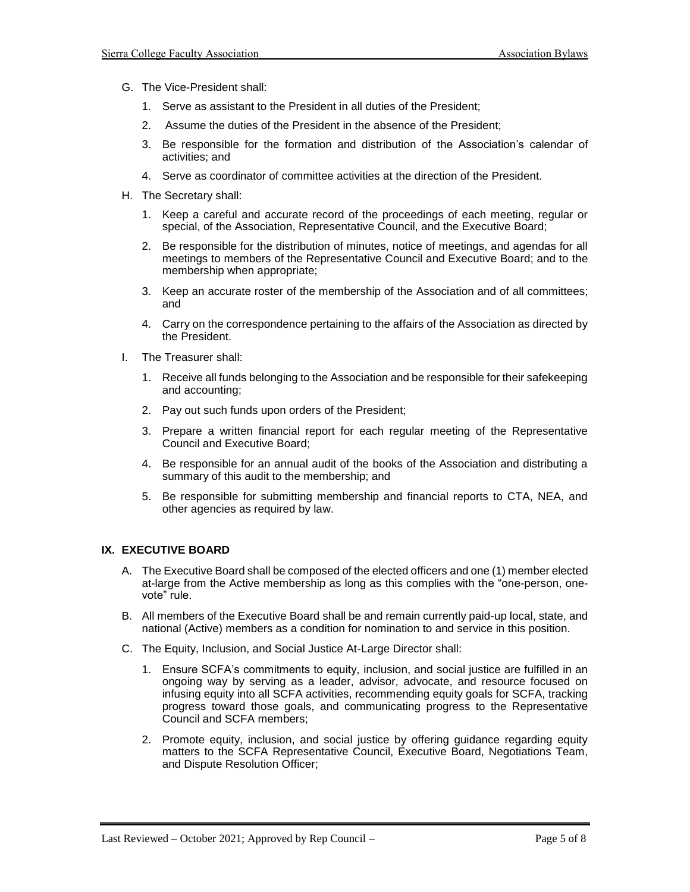- G. The Vice-President shall:
	- 1. Serve as assistant to the President in all duties of the President;
	- 2. Assume the duties of the President in the absence of the President;
	- 3. Be responsible for the formation and distribution of the Association's calendar of activities; and
	- 4. Serve as coordinator of committee activities at the direction of the President.
- H. The Secretary shall:
	- 1. Keep a careful and accurate record of the proceedings of each meeting, regular or special, of the Association, Representative Council, and the Executive Board;
	- 2. Be responsible for the distribution of minutes, notice of meetings, and agendas for all meetings to members of the Representative Council and Executive Board; and to the membership when appropriate;
	- 3. Keep an accurate roster of the membership of the Association and of all committees; and
	- 4. Carry on the correspondence pertaining to the affairs of the Association as directed by the President.
- I. The Treasurer shall:
	- 1. Receive all funds belonging to the Association and be responsible for their safekeeping and accounting;
	- 2. Pay out such funds upon orders of the President;
	- 3. Prepare a written financial report for each regular meeting of the Representative Council and Executive Board;
	- 4. Be responsible for an annual audit of the books of the Association and distributing a summary of this audit to the membership; and
	- 5. Be responsible for submitting membership and financial reports to CTA, NEA, and other agencies as required by law.

# **IX. EXECUTIVE BOARD**

- A. The Executive Board shall be composed of the elected officers and one (1) member elected at-large from the Active membership as long as this complies with the "one-person, onevote" rule.
- B. All members of the Executive Board shall be and remain currently paid-up local, state, and national (Active) members as a condition for nomination to and service in this position.
- C. The Equity, Inclusion, and Social Justice At-Large Director shall:
	- 1. Ensure SCFA's commitments to equity, inclusion, and social justice are fulfilled in an ongoing way by serving as a leader, advisor, advocate, and resource focused on infusing equity into all SCFA activities, recommending equity goals for SCFA, tracking progress toward those goals, and communicating progress to the Representative Council and SCFA members;
	- 2. Promote equity, inclusion, and social justice by offering guidance regarding equity matters to the SCFA Representative Council, Executive Board, Negotiations Team, and Dispute Resolution Officer;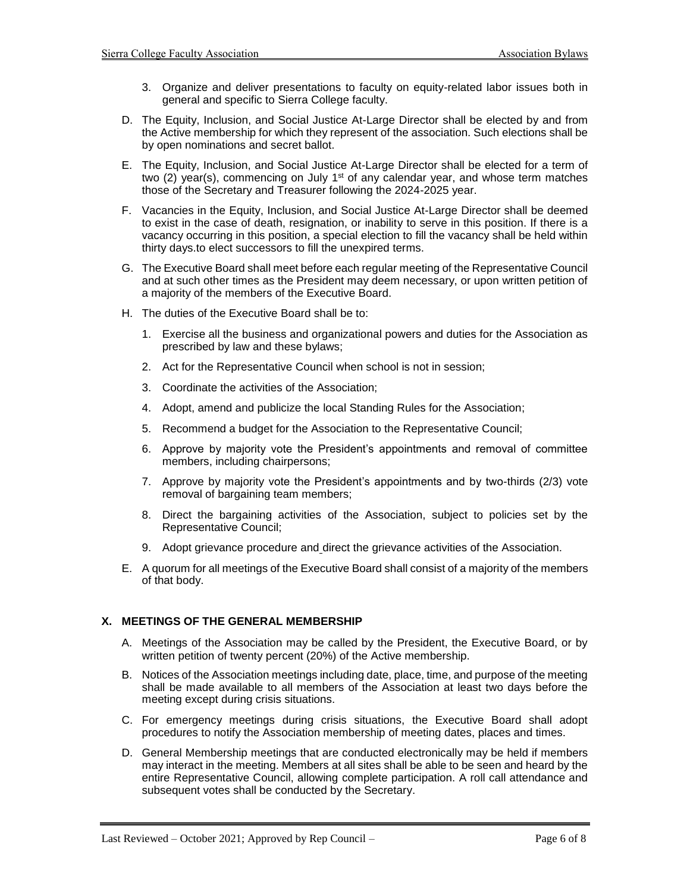- 3. Organize and deliver presentations to faculty on equity-related labor issues both in general and specific to Sierra College faculty.
- D. The Equity, Inclusion, and Social Justice At-Large Director shall be elected by and from the Active membership for which they represent of the association. Such elections shall be by open nominations and secret ballot.
- E. The Equity, Inclusion, and Social Justice At-Large Director shall be elected for a term of two (2) year(s), commencing on July 1<sup>st</sup> of any calendar year, and whose term matches those of the Secretary and Treasurer following the 2024-2025 year.
- F. Vacancies in the Equity, Inclusion, and Social Justice At-Large Director shall be deemed to exist in the case of death, resignation, or inability to serve in this position. If there is a vacancy occurring in this position, a special election to fill the vacancy shall be held within thirty days.to elect successors to fill the unexpired terms.
- G. The Executive Board shall meet before each regular meeting of the Representative Council and at such other times as the President may deem necessary, or upon written petition of a majority of the members of the Executive Board.
- H. The duties of the Executive Board shall be to:
	- 1. Exercise all the business and organizational powers and duties for the Association as prescribed by law and these bylaws;
	- 2. Act for the Representative Council when school is not in session;
	- 3. Coordinate the activities of the Association;
	- 4. Adopt, amend and publicize the local Standing Rules for the Association;
	- 5. Recommend a budget for the Association to the Representative Council;
	- 6. Approve by majority vote the President's appointments and removal of committee members, including chairpersons;
	- 7. Approve by majority vote the President's appointments and by two-thirds (2/3) vote removal of bargaining team members;
	- 8. Direct the bargaining activities of the Association, subject to policies set by the Representative Council;
	- 9. Adopt grievance procedure and direct the grievance activities of the Association.
- E. A quorum for all meetings of the Executive Board shall consist of a majority of the members of that body.

## **X. MEETINGS OF THE GENERAL MEMBERSHIP**

- A. Meetings of the Association may be called by the President, the Executive Board, or by written petition of twenty percent (20%) of the Active membership.
- B. Notices of the Association meetings including date, place, time, and purpose of the meeting shall be made available to all members of the Association at least two days before the meeting except during crisis situations.
- C. For emergency meetings during crisis situations, the Executive Board shall adopt procedures to notify the Association membership of meeting dates, places and times.
- D. General Membership meetings that are conducted electronically may be held if members may interact in the meeting. Members at all sites shall be able to be seen and heard by the entire Representative Council, allowing complete participation. A roll call attendance and subsequent votes shall be conducted by the Secretary.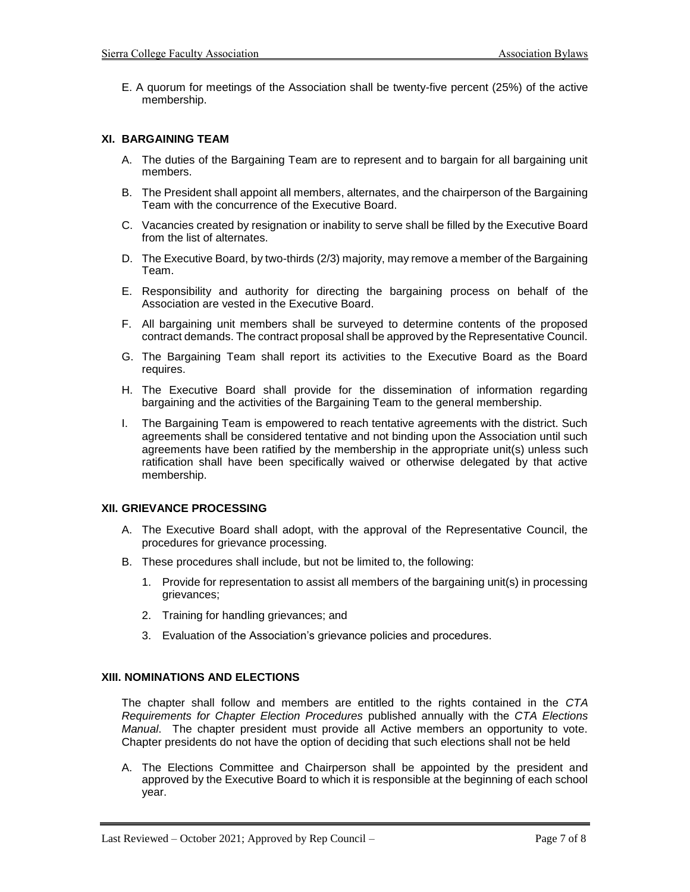E. A quorum for meetings of the Association shall be twenty-five percent (25%) of the active membership.

## **XI. BARGAINING TEAM**

- A. The duties of the Bargaining Team are to represent and to bargain for all bargaining unit members.
- B. The President shall appoint all members, alternates, and the chairperson of the Bargaining Team with the concurrence of the Executive Board.
- C. Vacancies created by resignation or inability to serve shall be filled by the Executive Board from the list of alternates.
- D. The Executive Board, by two-thirds (2/3) majority, may remove a member of the Bargaining Team.
- E. Responsibility and authority for directing the bargaining process on behalf of the Association are vested in the Executive Board.
- F. All bargaining unit members shall be surveyed to determine contents of the proposed contract demands. The contract proposal shall be approved by the Representative Council.
- G. The Bargaining Team shall report its activities to the Executive Board as the Board requires.
- H. The Executive Board shall provide for the dissemination of information regarding bargaining and the activities of the Bargaining Team to the general membership.
- I. The Bargaining Team is empowered to reach tentative agreements with the district. Such agreements shall be considered tentative and not binding upon the Association until such agreements have been ratified by the membership in the appropriate unit(s) unless such ratification shall have been specifically waived or otherwise delegated by that active membership.

## **XII. GRIEVANCE PROCESSING**

- A. The Executive Board shall adopt, with the approval of the Representative Council, the procedures for grievance processing.
- B. These procedures shall include, but not be limited to, the following:
	- 1. Provide for representation to assist all members of the bargaining unit(s) in processing grievances;
	- 2. Training for handling grievances; and
	- 3. Evaluation of the Association's grievance policies and procedures.

## **XIII. NOMINATIONS AND ELECTIONS**

The chapter shall follow and members are entitled to the rights contained in the *CTA Requirements for Chapter Election Procedures* published annually with the *CTA Elections Manual*. The chapter president must provide all Active members an opportunity to vote. Chapter presidents do not have the option of deciding that such elections shall not be held

A. The Elections Committee and Chairperson shall be appointed by the president and approved by the Executive Board to which it is responsible at the beginning of each school year.